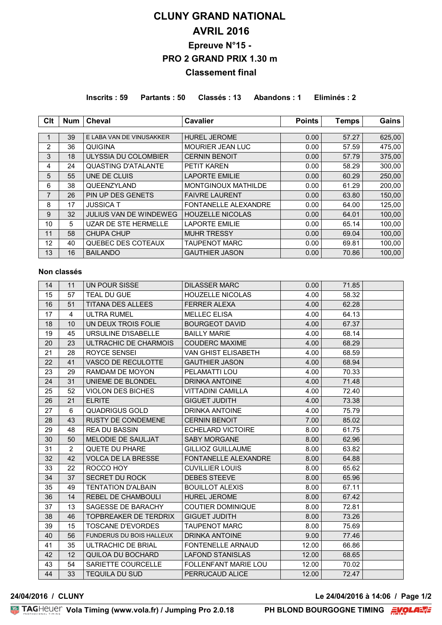# **CLUNY GRAND NATIONAL AVRIL 2016 Epreuve N°15 - PRO 2 GRAND PRIX 1.30 m Classement final**

**Inscrits : 59 Partants : 50 Classés : 13 Abandons : 1 Eliminés : 2**

| Clt            | <b>Num</b> | <b>Cheval</b>                 | <b>Cavalier</b>             | <b>Points</b> | <b>Temps</b> | Gains  |
|----------------|------------|-------------------------------|-----------------------------|---------------|--------------|--------|
|                |            |                               |                             |               |              |        |
|                | 39         | E LABA VAN DE VINUSAKKER      | <b>HUREL JEROME</b>         | 0.00          | 57.27        | 625,00 |
| 2              | 36         | QUIGINA                       | <b>MOURIER JEAN LUC</b>     | 0.00          | 57.59        | 475,00 |
| 3              | 18         | ULYSSIA DU COLOMBIER          | <b>CERNIN BENOIT</b>        | 0.00          | 57.79        | 375,00 |
| 4              | 24         | <b>QUASTING D'ATALANTE</b>    | <b>PETIT KAREN</b>          | 0.00          | 58.29        | 300,00 |
| 5              | 55         | UNE DE CLUIS                  | <b>LAPORTE EMILIE</b>       | 0.00          | 60.29        | 250,00 |
| 6              | 38         | QUEENZYLAND                   | MONTGINOUX MATHILDE         | 0.00          | 61.29        | 200,00 |
| $\overline{7}$ | 26         | PIN UP DES GENETS             | <b>FAIVRE LAURENT</b>       | 0.00          | 63.80        | 150,00 |
| 8              | 17         | <b>JUSSICA T</b>              | <b>FONTANELLE ALEXANDRE</b> | 0.00          | 64.00        | 125.00 |
| 9              | 32         | <b>JULIUS VAN DE WINDEWEG</b> | <b>HOUZELLE NICOLAS</b>     | 0.00          | 64.01        | 100.00 |
| 10             | 5          | <b>UZAR DE STE HERMELLE</b>   | <b>LAPORTE EMILIE</b>       | 0.00          | 65.14        | 100,00 |
| 11             | 58         | CHUPA CHUP                    | <b>MUHR TRESSY</b>          | 0.00          | 69.04        | 100.00 |
| 12             | 40         | QUEBEC DES COTEAUX            | <b>TAUPENOT MARC</b>        | 0.00          | 69.81        | 100,00 |
| 13             | 16         | <b>BAILANDO</b>               | <b>GAUTHIER JASON</b>       | 0.00          | 70.86        | 100.00 |

#### **Non classés**

| 14 | 11             | UN POUR SISSE                   | <b>DILASSER MARC</b>        | 0.00  | 71.85 |  |
|----|----------------|---------------------------------|-----------------------------|-------|-------|--|
| 15 | 57             | <b>TEAL DU GUE</b>              | <b>HOUZELLE NICOLAS</b>     | 4.00  | 58.32 |  |
| 16 | 51             | <b>TITANA DES ALLEES</b>        | <b>FERRER ALEXA</b>         | 4.00  | 62.28 |  |
| 17 | 4              | <b>ULTRA RUMEL</b>              | <b>MELLEC ELISA</b>         | 4.00  | 64.13 |  |
| 18 | 10             | UN DEUX TROIS FOLIE             | <b>BOURGEOT DAVID</b>       | 4.00  | 67.37 |  |
| 19 | 45             | URSULINE D'ISABELLE             | <b>BAILLY MARIE</b>         | 4.00  | 68.14 |  |
| 20 | 23             | ULTRACHIC DE CHARMOIS           | <b>COUDERC MAXIME</b>       | 4.00  | 68.29 |  |
| 21 | 28             | ROYCE SENSEI                    | <b>VAN GHIST ELISABETH</b>  | 4.00  | 68.59 |  |
| 22 | 41             | <b>VASCO DE RECULOTTE</b>       | <b>GAUTHIER JASON</b>       | 4.00  | 68.94 |  |
| 23 | 29             | RAMDAM DE MOYON                 | PELAMATTI LOU               | 4.00  | 70.33 |  |
| 24 | 31             | UNIEME DE BLONDEL               | DRINKA ANTOINE              | 4.00  | 71.48 |  |
| 25 | 52             | <b>VIOLON DES BICHES</b>        | <b>VITTADINI CAMILLA</b>    | 4.00  | 72.40 |  |
| 26 | 21             | <b>ELRITE</b>                   | <b>GIGUET JUDITH</b>        | 4.00  | 73.38 |  |
| 27 | 6              | QUADRIGUS GOLD                  | <b>DRINKA ANTOINE</b>       | 4.00  | 75.79 |  |
| 28 | 43             | <b>RUSTY DE CONDEMENE</b>       | <b>CERNIN BENOIT</b>        | 7.00  | 85.02 |  |
| 29 | 48             | <b>REA DU BASSIN</b>            | <b>ECHELARD VICTOIRE</b>    | 8.00  | 61.75 |  |
| 30 | 50             | <b>MELODIE DE SAULJAT</b>       | <b>SABY MORGANE</b>         | 8.00  | 62.96 |  |
| 31 | $\overline{2}$ | QUETE DU PHARE                  | <b>GILLIOZ GUILLAUME</b>    | 8.00  | 63.82 |  |
| 32 | 42             | <b>VOLCA DE LA BRESSE</b>       | <b>FONTANELLE ALEXANDRE</b> | 8.00  | 64.88 |  |
| 33 | 22             | ROCCO HOY                       | <b>CUVILLIER LOUIS</b>      | 8.00  | 65.62 |  |
| 34 | 37             | SECRET DU ROCK                  | DEBES STEEVE                | 8.00  | 65.96 |  |
| 35 | 49             | <b>TENTATION D'ALBAIN</b>       | <b>BOUILLOT ALEXIS</b>      | 8.00  | 67.11 |  |
| 36 | 14             | <b>REBEL DE CHAMBOULI</b>       | <b>HUREL JEROME</b>         | 8.00  | 67.42 |  |
| 37 | 13             | SAGESSE DE BARACHY              | <b>COUTIER DOMINIQUE</b>    | 8.00  | 72.81 |  |
| 38 | 46             | <b>TOPBREAKER DE TERDRIX</b>    | <b>GIGUET JUDITH</b>        | 8.00  | 73.26 |  |
| 39 | 15             | <b>TOSCANE D'EVORDES</b>        | <b>TAUPENOT MARC</b>        | 8.00  | 75.69 |  |
| 40 | 56             | <b>FUNDERUS DU BOIS HALLEUX</b> | <b>DRINKA ANTOINE</b>       | 9.00  | 77.46 |  |
| 41 | 35             | ULTRACHIC DE BRIAL              | <b>FONTENELLE ARNAUD</b>    | 12.00 | 66.86 |  |
| 42 | 12             | QUILOA DU BOCHARD               | <b>LAFOND STANISLAS</b>     | 12.00 | 68.65 |  |
| 43 | 54             | SARIETTE COURCELLE              | <b>FOLLENFANT MARIE LOU</b> | 12.00 | 70.02 |  |
| 44 | 33             | <b>TEQUILA DU SUD</b>           | PERRUCAUD ALICE             | 12.00 | 72.47 |  |

**24/04/2016 / CLUNY Le 24/04/2016 à 14:06 / Page 1/2**

**FAGHELLER Vola Timing (www.vola.fr) / Jumping Pro 2.0.18** 

**PH BLOND BOURGOGNE TIMING FINDLANE**